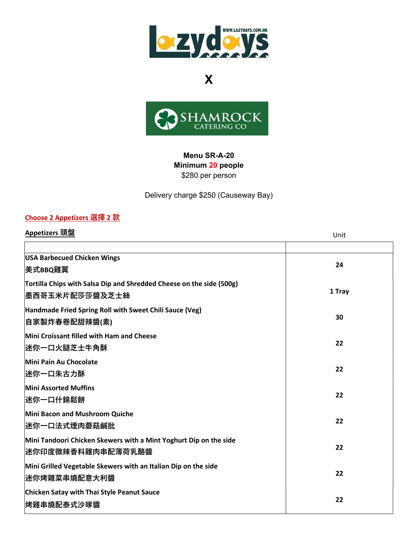

X



### Menu SR-A-20 Minimum 20 people \$280 per person

Delivery charge \$250 (Causeway Bay)

#### Choose 2 Appetizers 選擇 2 款

| Appetizers 頭盤                                                                                  | Unit   |
|------------------------------------------------------------------------------------------------|--------|
|                                                                                                |        |
| <b>USA Barbecued Chicken Wings</b><br>美式BBQ雞翼                                                  | 24     |
| Tortilla Chips with Salsa Dip and Shredded Cheese on the side (500g)<br><b> 墨西哥玉米片配莎莎醬及芝士絲</b> | 1 Tray |
| Handmade Fried Spring Roll with Sweet Chili Sauce (Veg)<br> 自家製炸春卷配甜辣醬(素)                      | 30     |
| Mini Croissant filled with Ham and Cheese<br>迷你一口火腿芝士牛角酥                                       | 22     |
| Mini Pain Au Chocolate<br>迷你一口朱古力酥                                                             | 22     |
| <b>Mini Assorted Muffins</b><br> 迷你一口什錦鬆餅                                                      | 22     |
| Mini Bacon and Mushroom Quiche<br>迷你一口法式煙肉蘑菇鹹批                                                 | 22     |
| Mini Tandoori Chicken Skewers with a Mint Yoghurt Dip on the side<br>迷你印度微辣香料雞肉串配薄荷乳酪醬         | 22     |
| Mini Grilled Vegetable Skewers with an Italian Dip on the side<br>迷你烤雜菜串燒配意大利醬                 | 22     |
| Chicken Satay with Thai Style Peanut Sauce<br>烤雞串燒配泰式沙嗲醬                                       | 22     |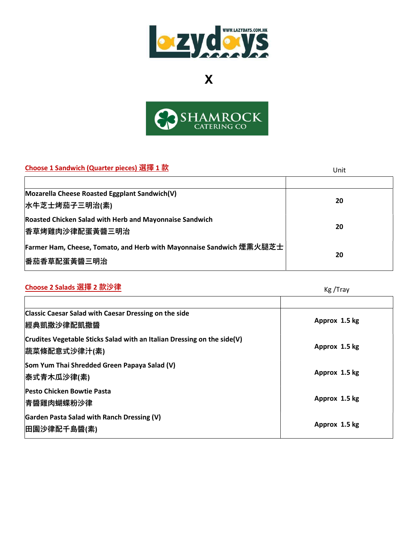

X



## Choose 1 Sandwich (Quarter pieces) 選摆 1 款 United States in the States of States of States in the States of States in the States of States of States in the States of States of States of States of States of States of States

| CHOOSE I Sandwich (Quarter pieces) 231 + I M                         | Unit |
|----------------------------------------------------------------------|------|
|                                                                      |      |
| Mozarella Cheese Roasted Eggplant Sandwich(V)                        |      |
| 水牛芝士烤茄子三明治(素)                                                        | 20   |
| <b>Roasted Chicken Salad with Herb and Mayonnaise Sandwich</b>       |      |
| <b> 香草烤雞肉沙律配蛋黃醬三明治</b>                                               | 20   |
| Farmer Ham, Cheese, Tomato, and Herb with Mayonnaise Sandwich 煙熏火腿芝士 |      |
| <b> 番茄香草配蛋黃醬三明治</b>                                                  | 20   |

# <mark>Choose 2 Salads 選擇 2 款沙律</mark> Kg /Tray

| <b>Classic Caesar Salad with Caesar Dressing on the side</b><br><b> 經典凱撒沙律配凱撒醬</b>       | Approx 1.5 kg |
|------------------------------------------------------------------------------------------|---------------|
| Crudites Vegetable Sticks Salad with an Italian Dressing on the side(V)<br> 蔬菜條配意式沙律汁(素) | Approx 1.5 kg |
| Som Yum Thai Shredded Green Papaya Salad (V)<br> 泰式青木瓜沙律(素)                              | Approx 1.5 kg |
| <b>Pesto Chicken Bowtie Pasta</b><br> 青醬雞肉蝴蝶粉沙律                                          | Approx 1.5 kg |
| Garden Pasta Salad with Ranch Dressing (V)<br> 田園沙律配千島醬(素)                               | Approx 1.5 kg |